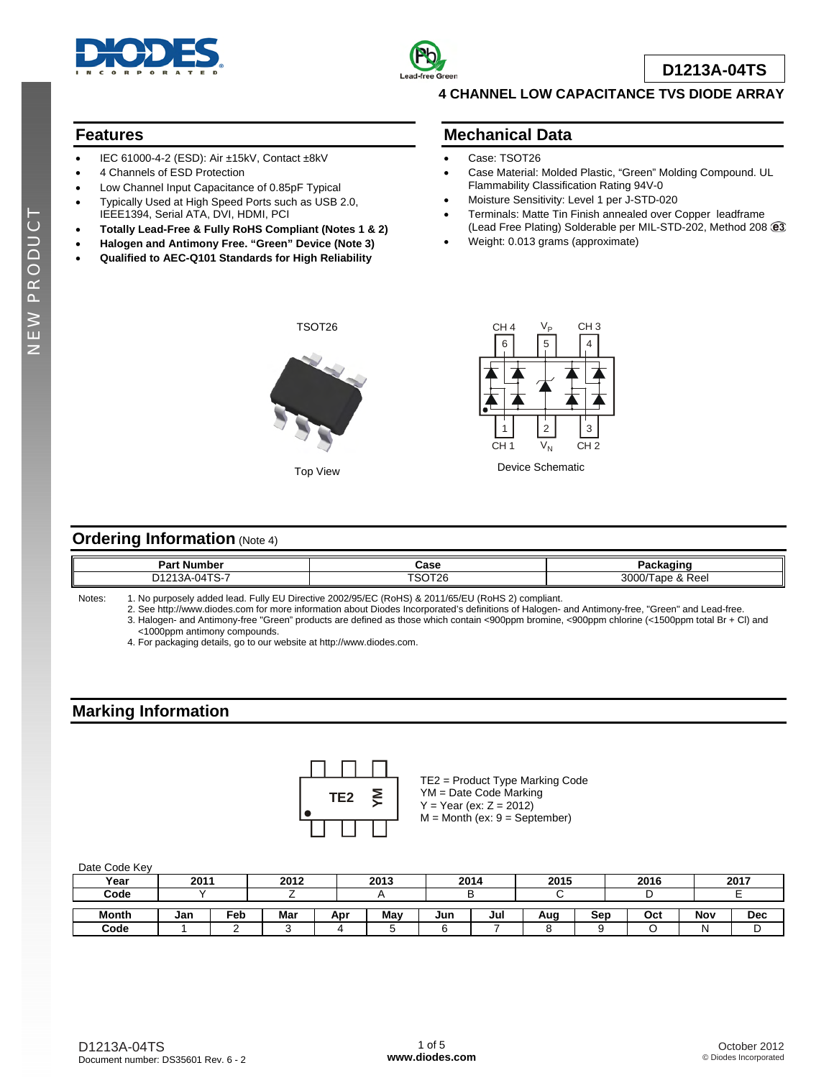



**D1213A-04TS**

### **4 CHANNEL LOW CAPACITANCE TVS DIODE ARRAY**

## **Features**

- IEC 61000-4-2 (ESD): Air ±15kV, Contact ±8kV
- 4 Channels of ESD Protection
- Low Channel Input Capacitance of 0.85pF Typical
- Typically Used at High Speed Ports such as USB 2.0, IEEE1394, Serial ATA, DVI, HDMI, PCI
- **Totally Lead-Free & Fully RoHS Compliant (Notes 1 & 2)**
- **Halogen and Antimony Free. "Green" Device (Note 3)**
- **Qualified to AEC-Q101 Standards for High Reliability**

### **Mechanical Data**

- Case: TSOT26
- Case Material: Molded Plastic, "Green" Molding Compound. UL Flammability Classification Rating 94V-0
- Moisture Sensitivity: Level 1 per J-STD-020
- Terminals: Matte Tin Finish annealed over Copper leadframe (Lead Free Plating) Solderable per MIL-STD-202, Method 208
- Weight: 0.013 grams (approximate)



Top View



Device Schematic

### **Ordering Information (Note 4)**

| Dort<br>aı<br>,,,,,,,                         | Case   | .<br>aunau               |
|-----------------------------------------------|--------|--------------------------|
| $\sim$ $\sim$<br>D <sub>1213</sub><br>J4 I S- | TOOTOG | 3000<br>Reel<br>200<br>ີ |

Notes: 1. No purposely added lead. Fully EU Directive 2002/95/EC (RoHS) & 2011/65/EU (RoHS 2) compliant.

 2. See [http://www.diodes.com fo](http://www.diodes.com)r more information about Diodes Incorporated's definitions of Halogen- and Antimony-free, "Green" and Lead-free. 3. Halogen- and Antimony-free "Green" products are defined as those which contain <900ppm bromine, <900ppm chlorine (<1500ppm total Br + Cl) and

<1000ppm antimony compounds.

4. For packaging details, go to our website at [http://www.diodes.com.](http://www.diodes.com)

# **Marking Information**



TE2 = Product Type Marking Code YM = Date Code Marking  $Y = Year (ex: Z = 2012)$ M = Month (ex: 9 = September)

#### Date Code Key

| Year         | 2011 |                 | 2012 |     | 2013 | 2014 |     | 2015 |     | 2016 |     | 2017 |
|--------------|------|-----------------|------|-----|------|------|-----|------|-----|------|-----|------|
| Code         |      |                 |      |     |      |      |     |      |     |      |     |      |
| <b>Month</b> | Jan  | Fe <sub>b</sub> | Mar  | Apr | May  | Jun  | Jul | Aug  | Sep | Oct  | Nov | Dec  |
| Code         |      |                 |      |     |      |      |     |      |     |      |     | ◡    |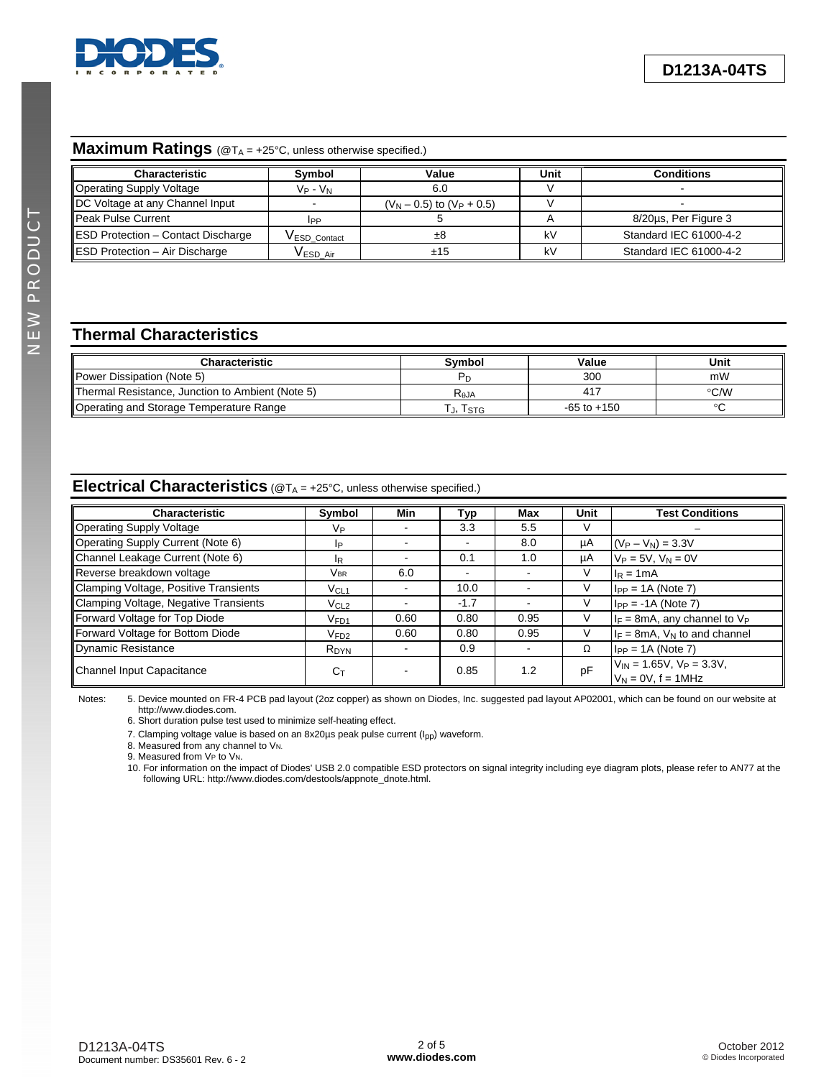

# **Maximum Ratings** (@TA = +25°C, unless otherwise specified.)

| <b>Characteristic</b>                     | Symbol          | Value                          | Unit | <b>Conditions</b>      |
|-------------------------------------------|-----------------|--------------------------------|------|------------------------|
| Operating Supply Voltage                  | $V_P$ - $V_N$   | 6.0                            |      |                        |
| DC Voltage at any Channel Input           |                 | $(V_N - 0.5)$ to $(V_P + 0.5)$ |      |                        |
| Peak Pulse Current                        | <b>IPP</b>      |                                |      | 8/20us, Per Figure 3   |
| <b>ESD Protection - Contact Discharge</b> | VESD Contact    | ±8                             | kV   | Standard IEC 61000-4-2 |
| ESD Protection - Air Discharge            | <b>VESD Air</b> | ±15                            | kV   | Standard IEC 61000-4-2 |

# **Thermal Characteristics**

| <b>Characteristic</b>                            | Svmbol    | Value           | Unit |
|--------------------------------------------------|-----------|-----------------|------|
| Power Dissipation (Note 5)                       |           | 300             | mW   |
| Thermal Resistance, Junction to Ambient (Note 5) | $R_{AJA}$ | 417             | °C/W |
| Operating and Storage Temperature Range          | J, ISTG   | $-65$ to $+150$ |      |

### **Electrical Characteristics** (@TA = +25°C, unless otherwise specified.)

|                                       |                  |      |                          | Max  | Unit | <b>Test Conditions</b>                                     |
|---------------------------------------|------------------|------|--------------------------|------|------|------------------------------------------------------------|
| Characteristic                        | Symbol           | Min  | Typ                      |      |      |                                                            |
| Operating Supply Voltage              | Vр               |      | 3.3                      | 5.5  | V    |                                                            |
| Operating Supply Current (Note 6)     | IP.              |      | $\blacksquare$           | 8.0  | μA   | $(V_P - V_N) = 3.3V$                                       |
| Channel Leakage Current (Note 6)      | lR.              |      | 0.1                      | 1.0  | μA   | $V_P = 5V$ , $V_N = 0V$                                    |
| Reverse breakdown voltage             | Vbr.             | 6.0  | $\overline{\phantom{0}}$ |      | V    | $I_R = 1mA$                                                |
| Clamping Voltage, Positive Transients | $V_{CL1}$        |      | 10.0                     |      | V    | $I_{PP} = 1A$ (Note 7)                                     |
| Clamping Voltage, Negative Transients | VCL2             |      | $-1.7$                   |      | V    | $I_{PP} = -1A$ (Note 7)                                    |
| Forward Voltage for Top Diode         | $V_{FD1}$        | 0.60 | 0.80                     | 0.95 | V    | $I_F = 8mA$ , any channel to $V_P$                         |
| Forward Voltage for Bottom Diode      | V <sub>FD2</sub> | 0.60 | 0.80                     | 0.95 | V    | $I_F = 8mA$ , $V_N$ to and channel                         |
| Dynamic Resistance                    | R <sub>DYN</sub> |      | 0.9                      |      | Ω    | $I_{PP} = 1A$ (Note 7)                                     |
| Channel Input Capacitance             | $C_{\text{T}}$   |      | 0.85                     | 1.2  | pF   | $V_{IN}$ = 1.65V, $V_P$ = 3.3V,<br>$V_N = 0V$ , $f = 1MHz$ |

Notes: 5. Device mounted on FR-4 PCB pad layout (2oz copper) as shown on Diodes, Inc. suggested pad layout AP02001, which can be found on our website at [http://www.diodes.com.](http://www.diodes.com) 

6. Short duration pulse test used to minimize self-heating effect.

7. Clamping voltage value is based on an 8x20us peak pulse current (I<sub>pp</sub>) waveform.

8. Measured from any channel to V<sub>N.</sub>

9. Measured from VP to VN.

10. For information on the impact of Diodes' USB 2.0 compatible ESD protectors on signal integrity including eye diagram plots, please refer to AN77 at the following URL: [http://www.diodes.com/destools/appnote\\_dnote.html.](http://www.diodes.com/destools/appnote_dnote.html)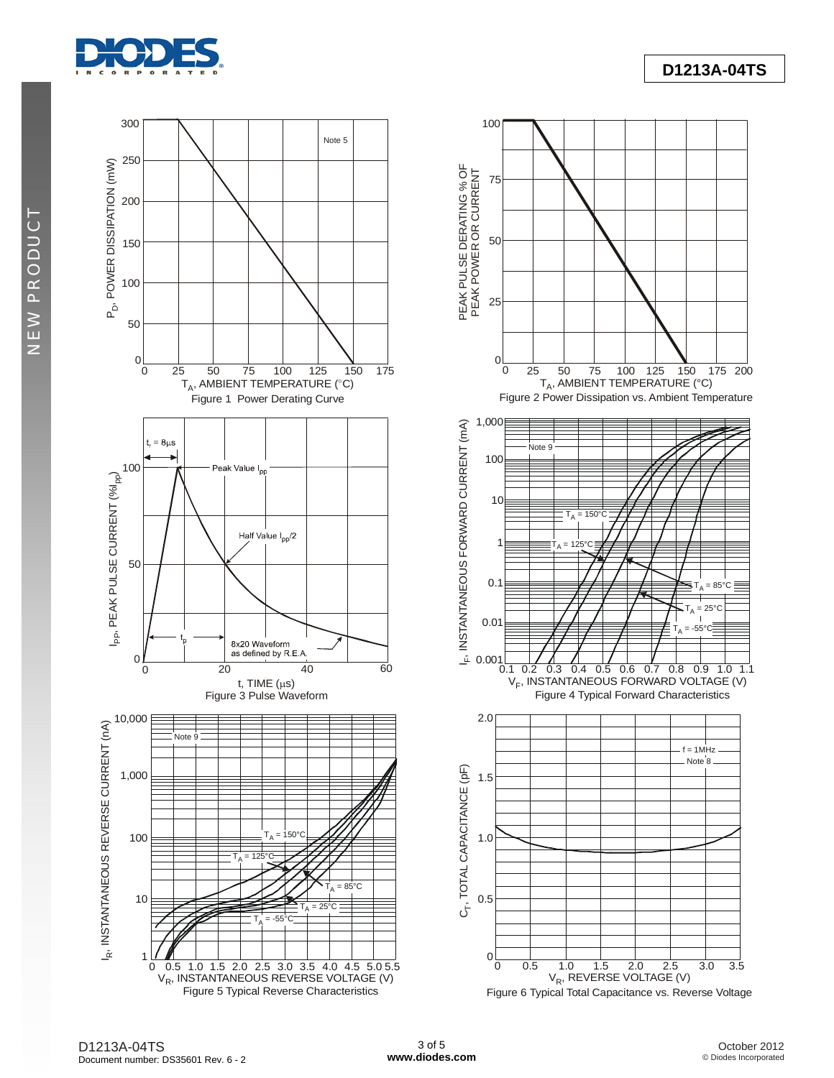

NEW PRODUCT NEW PRODUCT



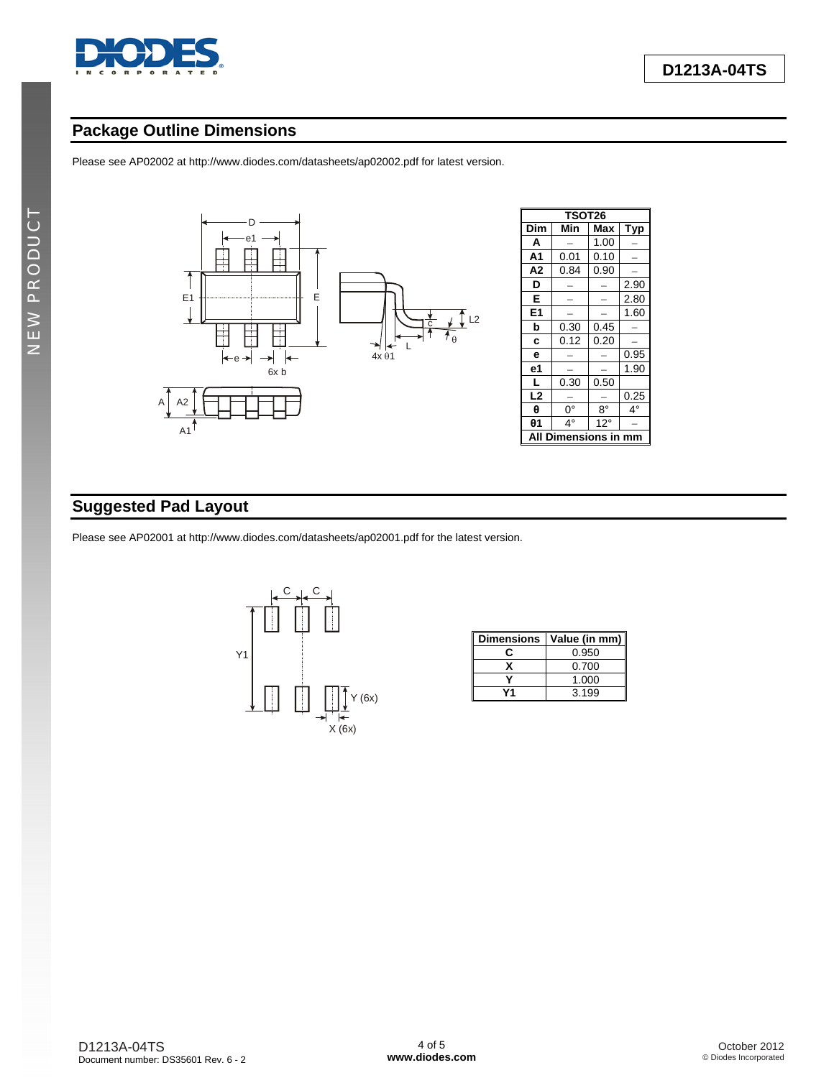

# **Package Outline Dimensions**

Please see AP02002 at [http://www.diodes.com/datasheets/ap02002.pdf fo](http://www.diodes.com/datasheets/ap02002.pdf)r latest version.



| <b>TSOT26</b>       |      |              |      |  |  |  |  |
|---------------------|------|--------------|------|--|--|--|--|
| Dim                 | Min  | Max          | Тур  |  |  |  |  |
| А                   |      | 1.00         |      |  |  |  |  |
| A <sub>1</sub>      | 0.01 | 0.10         |      |  |  |  |  |
| Α2                  | 0.84 | 0.90         |      |  |  |  |  |
| D                   |      |              | 2.90 |  |  |  |  |
| Е                   |      |              | 2.80 |  |  |  |  |
| E1                  |      |              | 1.60 |  |  |  |  |
| b                   | 0.30 | 0.45         |      |  |  |  |  |
| C                   | 0.12 | 0.20         |      |  |  |  |  |
| e                   |      |              | 0.95 |  |  |  |  |
| е1                  |      |              | 1.90 |  |  |  |  |
| L                   | 0.30 | 0.50         |      |  |  |  |  |
| L <sub>2</sub>      |      |              | 0.25 |  |  |  |  |
| θ                   | 0°   | $8^{\circ}$  | 4°   |  |  |  |  |
| θ1                  | 4°   | $12^{\circ}$ |      |  |  |  |  |
| A<br>Di<br>nensions |      |              |      |  |  |  |  |

# **Suggested Pad Layout**

Please see AP02001 at [http://www.diodes.com/datasheets/ap02001.pdf fo](http://www.diodes.com/datasheets/ap02001.pdf)r the latest version.



| <b>Dimensions</b> | Value (in mm) |
|-------------------|---------------|
|                   | 0.950         |
|                   | 0.700         |
|                   | 1.000         |
|                   | 3.199         |